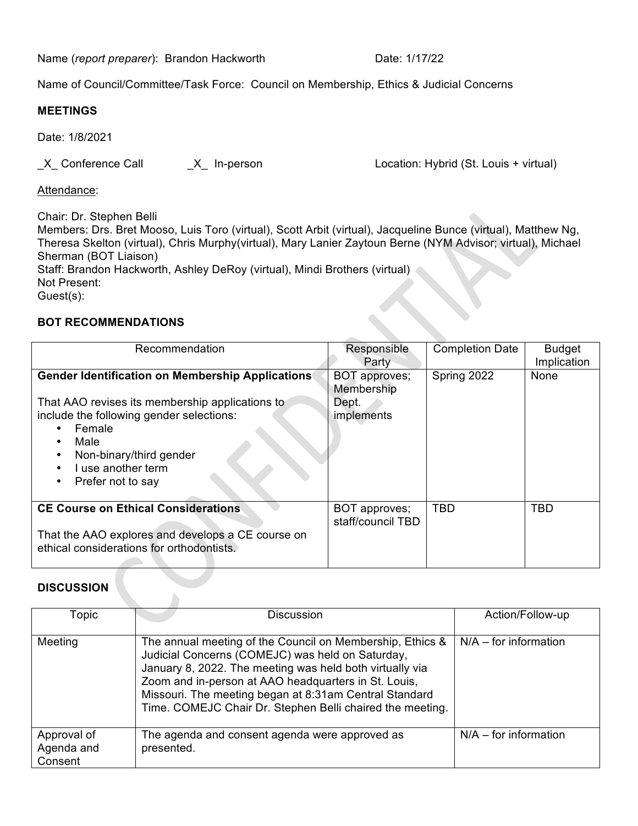Name (*report preparer*): Brandon Hackworth Date: 1/17/22

Name of Council/Committee/Task Force: Council on Membership, Ethics & Judicial Concerns

## **MEETINGS**

Date: 1/8/2021

\_X\_ Conference Call \_X\_ In-person Location: Hybrid (St. Louis + virtual)

Attendance:

Chair: Dr. Stephen Belli

Members: Drs. Bret Mooso, Luis Toro (virtual), Scott Arbit (virtual), Jacqueline Bunce (virtual), Matthew Ng, Theresa Skelton (virtual), Chris Murphy(virtual), Mary Lanier Zaytoun Berne (NYM Advisor; virtual), Michael Sherman (BOT Liaison) Staff: Brandon Hackworth, Ashley DeRoy (virtual), Mindi Brothers (virtual) Not Present: Guest(s):

## **BOT RECOMMENDATIONS**

| Recommendation                                                                                                                                                                                                                                                                                     | Responsible<br>Party                               | <b>Completion Date</b> | <b>Budget</b><br>Implication |
|----------------------------------------------------------------------------------------------------------------------------------------------------------------------------------------------------------------------------------------------------------------------------------------------------|----------------------------------------------------|------------------------|------------------------------|
| <b>Gender Identification on Membership Applications</b><br>That AAO revises its membership applications to<br>include the following gender selections:<br>Female<br>Male<br>$\bullet$<br>Non-binary/third gender<br>$\bullet$<br>I use another term<br>$\bullet$<br>Prefer not to say<br>$\bullet$ | BOT approves;<br>Membership<br>Dept.<br>implements | Spring 2022            | None                         |
| <b>CE Course on Ethical Considerations</b><br>That the AAO explores and develops a CE course on<br>ethical considerations for orthodontists.                                                                                                                                                       | BOT approves;<br>staff/council TBD                 | <b>TBD</b>             | <b>TBD</b>                   |

## **DISCUSSION**

| Topic                                | <b>Discussion</b>                                                                                                                                                                                                                                                                                                                                        | Action/Follow-up        |
|--------------------------------------|----------------------------------------------------------------------------------------------------------------------------------------------------------------------------------------------------------------------------------------------------------------------------------------------------------------------------------------------------------|-------------------------|
| Meeting                              | The annual meeting of the Council on Membership, Ethics &<br>Judicial Concerns (COMEJC) was held on Saturday,<br>January 8, 2022. The meeting was held both virtually via<br>Zoom and in-person at AAO headquarters in St. Louis,<br>Missouri. The meeting began at 8:31am Central Standard<br>Time. COMEJC Chair Dr. Stephen Belli chaired the meeting. | $N/A$ – for information |
| Approval of<br>Agenda and<br>Consent | The agenda and consent agenda were approved as<br>presented.                                                                                                                                                                                                                                                                                             | $N/A$ – for information |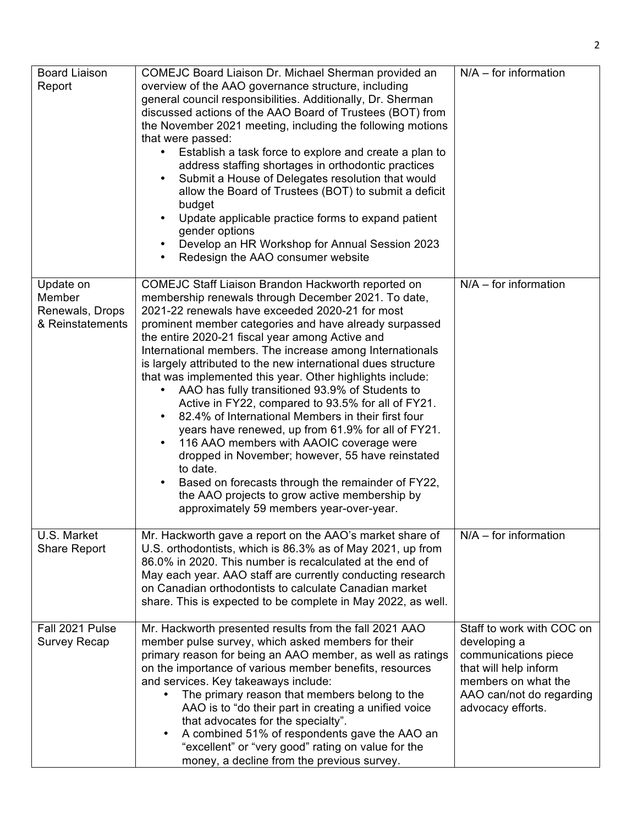| Board Liaison<br>Report                                    | COMEJC Board Liaison Dr. Michael Sherman provided an<br>overview of the AAO governance structure, including<br>general council responsibilities. Additionally, Dr. Sherman<br>discussed actions of the AAO Board of Trustees (BOT) from<br>the November 2021 meeting, including the following motions<br>that were passed:<br>Establish a task force to explore and create a plan to<br>٠<br>address staffing shortages in orthodontic practices<br>Submit a House of Delegates resolution that would<br>٠<br>allow the Board of Trustees (BOT) to submit a deficit<br>budget<br>Update applicable practice forms to expand patient<br>٠<br>gender options<br>Develop an HR Workshop for Annual Session 2023<br>$\bullet$<br>Redesign the AAO consumer website<br>$\bullet$                                                                                                                                                                                                        | $N/A$ – for information                                                                                                                                            |
|------------------------------------------------------------|------------------------------------------------------------------------------------------------------------------------------------------------------------------------------------------------------------------------------------------------------------------------------------------------------------------------------------------------------------------------------------------------------------------------------------------------------------------------------------------------------------------------------------------------------------------------------------------------------------------------------------------------------------------------------------------------------------------------------------------------------------------------------------------------------------------------------------------------------------------------------------------------------------------------------------------------------------------------------------|--------------------------------------------------------------------------------------------------------------------------------------------------------------------|
| Update on<br>Member<br>Renewals, Drops<br>& Reinstatements | COMEJC Staff Liaison Brandon Hackworth reported on<br>membership renewals through December 2021. To date,<br>2021-22 renewals have exceeded 2020-21 for most<br>prominent member categories and have already surpassed<br>the entire 2020-21 fiscal year among Active and<br>International members. The increase among Internationals<br>is largely attributed to the new international dues structure<br>that was implemented this year. Other highlights include:<br>AAO has fully transitioned 93.9% of Students to<br>٠<br>Active in FY22, compared to 93.5% for all of FY21.<br>82.4% of International Members in their first four<br>٠<br>years have renewed, up from 61.9% for all of FY21.<br>116 AAO members with AAOIC coverage were<br>$\bullet$<br>dropped in November; however, 55 have reinstated<br>to date.<br>Based on forecasts through the remainder of FY22,<br>٠<br>the AAO projects to grow active membership by<br>approximately 59 members year-over-year. | $N/A$ – for information                                                                                                                                            |
| U.S. Market<br><b>Share Report</b>                         | Mr. Hackworth gave a report on the AAO's market share of<br>U.S. orthodontists, which is 86.3% as of May 2021, up from<br>86.0% in 2020. This number is recalculated at the end of<br>May each year. AAO staff are currently conducting research<br>on Canadian orthodontists to calculate Canadian market<br>share. This is expected to be complete in May 2022, as well.                                                                                                                                                                                                                                                                                                                                                                                                                                                                                                                                                                                                         | $N/A$ – for information                                                                                                                                            |
| Fall 2021 Pulse<br>Survey Recap                            | Mr. Hackworth presented results from the fall 2021 AAO<br>member pulse survey, which asked members for their<br>primary reason for being an AAO member, as well as ratings<br>on the importance of various member benefits, resources<br>and services. Key takeaways include:<br>The primary reason that members belong to the<br>AAO is to "do their part in creating a unified voice<br>that advocates for the specialty".<br>A combined 51% of respondents gave the AAO an<br>$\bullet$<br>"excellent" or "very good" rating on value for the<br>money, a decline from the previous survey.                                                                                                                                                                                                                                                                                                                                                                                     | Staff to work with COC on<br>developing a<br>communications piece<br>that will help inform<br>members on what the<br>AAO can/not do regarding<br>advocacy efforts. |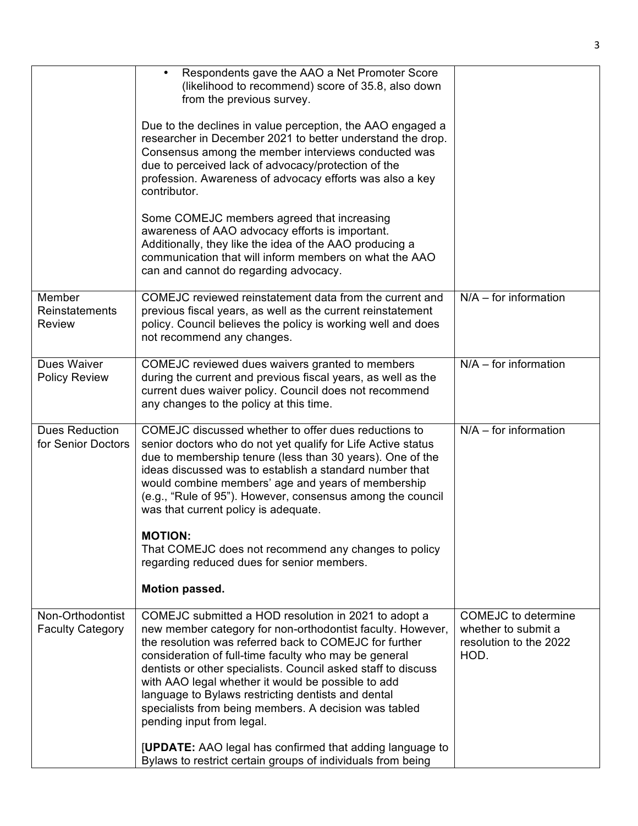|                                             | Respondents gave the AAO a Net Promoter Score<br>(likelihood to recommend) score of 35.8, also down<br>from the previous survey.                                                                                                                                                                                                                                                                                                                                                                         |                                                                                     |
|---------------------------------------------|----------------------------------------------------------------------------------------------------------------------------------------------------------------------------------------------------------------------------------------------------------------------------------------------------------------------------------------------------------------------------------------------------------------------------------------------------------------------------------------------------------|-------------------------------------------------------------------------------------|
|                                             | Due to the declines in value perception, the AAO engaged a<br>researcher in December 2021 to better understand the drop.<br>Consensus among the member interviews conducted was<br>due to perceived lack of advocacy/protection of the<br>profession. Awareness of advocacy efforts was also a key<br>contributor.                                                                                                                                                                                       |                                                                                     |
|                                             | Some COMEJC members agreed that increasing<br>awareness of AAO advocacy efforts is important.<br>Additionally, they like the idea of the AAO producing a<br>communication that will inform members on what the AAO<br>can and cannot do regarding advocacy.                                                                                                                                                                                                                                              |                                                                                     |
| Member<br>Reinstatements<br><b>Review</b>   | COMEJC reviewed reinstatement data from the current and<br>previous fiscal years, as well as the current reinstatement<br>policy. Council believes the policy is working well and does<br>not recommend any changes.                                                                                                                                                                                                                                                                                     | $N/A$ – for information                                                             |
| Dues Waiver<br><b>Policy Review</b>         | COMEJC reviewed dues waivers granted to members<br>during the current and previous fiscal years, as well as the<br>current dues waiver policy. Council does not recommend<br>any changes to the policy at this time.                                                                                                                                                                                                                                                                                     | $N/A$ – for information                                                             |
| <b>Dues Reduction</b><br>for Senior Doctors | COMEJC discussed whether to offer dues reductions to<br>senior doctors who do not yet qualify for Life Active status<br>due to membership tenure (less than 30 years). One of the<br>ideas discussed was to establish a standard number that<br>would combine members' age and years of membership<br>(e.g., "Rule of 95"). However, consensus among the council<br>was that current policy is adequate.                                                                                                 | $N/A$ – for information                                                             |
|                                             | <b>MOTION:</b><br>That COMEJC does not recommend any changes to policy<br>regarding reduced dues for senior members.<br>Motion passed.                                                                                                                                                                                                                                                                                                                                                                   |                                                                                     |
|                                             |                                                                                                                                                                                                                                                                                                                                                                                                                                                                                                          |                                                                                     |
| Non-Orthodontist<br><b>Faculty Category</b> | COMEJC submitted a HOD resolution in 2021 to adopt a<br>new member category for non-orthodontist faculty. However,<br>the resolution was referred back to COMEJC for further<br>consideration of full-time faculty who may be general<br>dentists or other specialists. Council asked staff to discuss<br>with AAO legal whether it would be possible to add<br>language to Bylaws restricting dentists and dental<br>specialists from being members. A decision was tabled<br>pending input from legal. | <b>COMEJC</b> to determine<br>whether to submit a<br>resolution to the 2022<br>HOD. |
|                                             | <b>[UPDATE:</b> AAO legal has confirmed that adding language to<br>Bylaws to restrict certain groups of individuals from being                                                                                                                                                                                                                                                                                                                                                                           |                                                                                     |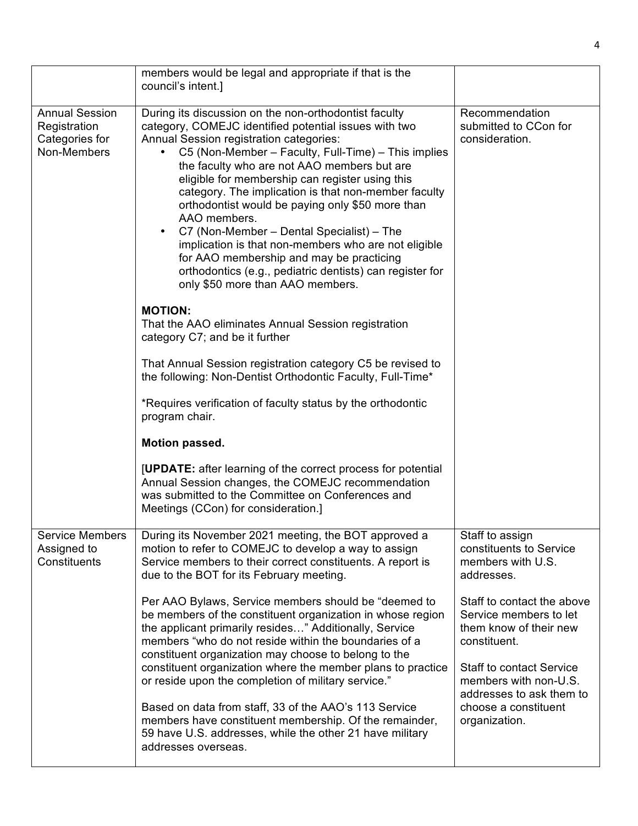|                                                                        | members would be legal and appropriate if that is the<br>council's intent.]                                                                                                                                                                                                                                                                                                                                                                                                                                                                                                                                                                                                                                       |                                                                                                                                                            |
|------------------------------------------------------------------------|-------------------------------------------------------------------------------------------------------------------------------------------------------------------------------------------------------------------------------------------------------------------------------------------------------------------------------------------------------------------------------------------------------------------------------------------------------------------------------------------------------------------------------------------------------------------------------------------------------------------------------------------------------------------------------------------------------------------|------------------------------------------------------------------------------------------------------------------------------------------------------------|
| <b>Annual Session</b><br>Registration<br>Categories for<br>Non-Members | During its discussion on the non-orthodontist faculty<br>category, COMEJC identified potential issues with two<br>Annual Session registration categories:<br>C5 (Non-Member – Faculty, Full-Time) – This implies<br>٠<br>the faculty who are not AAO members but are<br>eligible for membership can register using this<br>category. The implication is that non-member faculty<br>orthodontist would be paying only \$50 more than<br>AAO members.<br>C7 (Non-Member – Dental Specialist) – The<br>$\bullet$<br>implication is that non-members who are not eligible<br>for AAO membership and may be practicing<br>orthodontics (e.g., pediatric dentists) can register for<br>only \$50 more than AAO members. | Recommendation<br>submitted to CCon for<br>consideration.                                                                                                  |
|                                                                        | <b>MOTION:</b><br>That the AAO eliminates Annual Session registration<br>category C7; and be it further                                                                                                                                                                                                                                                                                                                                                                                                                                                                                                                                                                                                           |                                                                                                                                                            |
|                                                                        | That Annual Session registration category C5 be revised to<br>the following: Non-Dentist Orthodontic Faculty, Full-Time*                                                                                                                                                                                                                                                                                                                                                                                                                                                                                                                                                                                          |                                                                                                                                                            |
|                                                                        | *Requires verification of faculty status by the orthodontic<br>program chair.                                                                                                                                                                                                                                                                                                                                                                                                                                                                                                                                                                                                                                     |                                                                                                                                                            |
|                                                                        | Motion passed.                                                                                                                                                                                                                                                                                                                                                                                                                                                                                                                                                                                                                                                                                                    |                                                                                                                                                            |
|                                                                        | [UPDATE: after learning of the correct process for potential<br>Annual Session changes, the COMEJC recommendation<br>was submitted to the Committee on Conferences and<br>Meetings (CCon) for consideration.]                                                                                                                                                                                                                                                                                                                                                                                                                                                                                                     |                                                                                                                                                            |
| <b>Service Members</b><br>Assigned to<br>Constituents                  | During its November 2021 meeting, the BOT approved a<br>motion to refer to COMEJC to develop a way to assign<br>Service members to their correct constituents. A report is<br>due to the BOT for its February meeting.                                                                                                                                                                                                                                                                                                                                                                                                                                                                                            | Staff to assign<br>constituents to Service<br>members with U.S.<br>addresses.                                                                              |
|                                                                        | Per AAO Bylaws, Service members should be "deemed to<br>be members of the constituent organization in whose region<br>the applicant primarily resides" Additionally, Service<br>members "who do not reside within the boundaries of a<br>constituent organization may choose to belong to the<br>constituent organization where the member plans to practice<br>or reside upon the completion of military service."                                                                                                                                                                                                                                                                                               | Staff to contact the above<br>Service members to let<br>them know of their new<br>constituent.<br><b>Staff to contact Service</b><br>members with non-U.S. |
|                                                                        | Based on data from staff, 33 of the AAO's 113 Service<br>members have constituent membership. Of the remainder,<br>59 have U.S. addresses, while the other 21 have military<br>addresses overseas.                                                                                                                                                                                                                                                                                                                                                                                                                                                                                                                | addresses to ask them to<br>choose a constituent<br>organization.                                                                                          |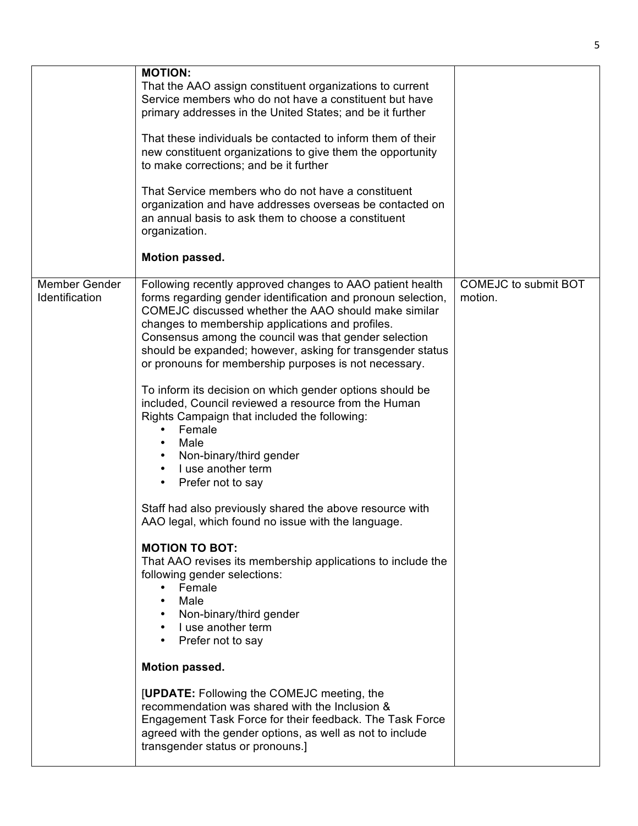|                                 | <b>MOTION:</b><br>That the AAO assign constituent organizations to current<br>Service members who do not have a constituent but have<br>primary addresses in the United States; and be it further<br>That these individuals be contacted to inform them of their<br>new constituent organizations to give them the opportunity<br>to make corrections; and be it further<br>That Service members who do not have a constituent<br>organization and have addresses overseas be contacted on<br>an annual basis to ask them to choose a constituent<br>organization.<br>Motion passed.                                                                                                                                                                                                                                                                                                                                                                                                                                                                                                                                                                                                                                                                                                                                                    |                                        |
|---------------------------------|-----------------------------------------------------------------------------------------------------------------------------------------------------------------------------------------------------------------------------------------------------------------------------------------------------------------------------------------------------------------------------------------------------------------------------------------------------------------------------------------------------------------------------------------------------------------------------------------------------------------------------------------------------------------------------------------------------------------------------------------------------------------------------------------------------------------------------------------------------------------------------------------------------------------------------------------------------------------------------------------------------------------------------------------------------------------------------------------------------------------------------------------------------------------------------------------------------------------------------------------------------------------------------------------------------------------------------------------|----------------------------------------|
| Member Gender<br>Identification | Following recently approved changes to AAO patient health<br>forms regarding gender identification and pronoun selection,<br>COMEJC discussed whether the AAO should make similar<br>changes to membership applications and profiles.<br>Consensus among the council was that gender selection<br>should be expanded; however, asking for transgender status<br>or pronouns for membership purposes is not necessary.<br>To inform its decision on which gender options should be<br>included, Council reviewed a resource from the Human<br>Rights Campaign that included the following:<br>Female<br>٠<br>Male<br>Non-binary/third gender<br>I use another term<br>$\bullet$<br>Prefer not to say<br>$\bullet$<br>Staff had also previously shared the above resource with<br>AAO legal, which found no issue with the language.<br><b>MOTION TO BOT:</b><br>That AAO revises its membership applications to include the<br>following gender selections:<br>• Female<br>Male<br>• Non-binary/third gender<br>• I use another term<br>Prefer not to say<br>Motion passed.<br>[UPDATE: Following the COMEJC meeting, the<br>recommendation was shared with the Inclusion &<br>Engagement Task Force for their feedback. The Task Force<br>agreed with the gender options, as well as not to include<br>transgender status or pronouns.] | <b>COMEJC to submit BOT</b><br>motion. |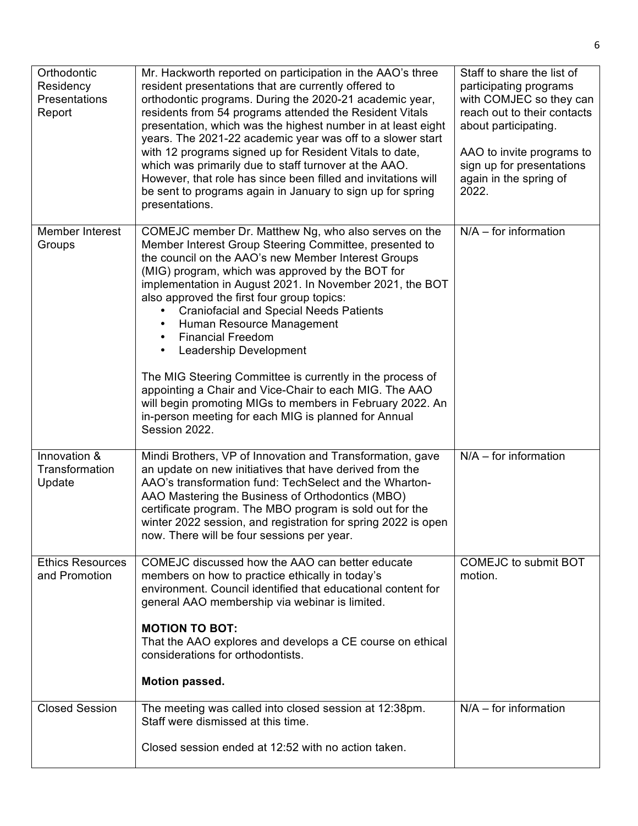| Orthodontic<br>Residency<br>Presentations<br>Report | Mr. Hackworth reported on participation in the AAO's three<br>resident presentations that are currently offered to<br>orthodontic programs. During the 2020-21 academic year,<br>residents from 54 programs attended the Resident Vitals<br>presentation, which was the highest number in at least eight<br>years. The 2021-22 academic year was off to a slower start<br>with 12 programs signed up for Resident Vitals to date,<br>which was primarily due to staff turnover at the AAO.<br>However, that role has since been filled and invitations will<br>be sent to programs again in January to sign up for spring<br>presentations.                                                                                                        | Staff to share the list of<br>participating programs<br>with COMJEC so they can<br>reach out to their contacts<br>about participating.<br>AAO to invite programs to<br>sign up for presentations<br>again in the spring of<br>2022. |
|-----------------------------------------------------|----------------------------------------------------------------------------------------------------------------------------------------------------------------------------------------------------------------------------------------------------------------------------------------------------------------------------------------------------------------------------------------------------------------------------------------------------------------------------------------------------------------------------------------------------------------------------------------------------------------------------------------------------------------------------------------------------------------------------------------------------|-------------------------------------------------------------------------------------------------------------------------------------------------------------------------------------------------------------------------------------|
| Member Interest<br>Groups                           | COMEJC member Dr. Matthew Ng, who also serves on the<br>Member Interest Group Steering Committee, presented to<br>the council on the AAO's new Member Interest Groups<br>(MIG) program, which was approved by the BOT for<br>implementation in August 2021. In November 2021, the BOT<br>also approved the first four group topics:<br><b>Craniofacial and Special Needs Patients</b><br>Human Resource Management<br>$\bullet$<br><b>Financial Freedom</b><br>Leadership Development<br>The MIG Steering Committee is currently in the process of<br>appointing a Chair and Vice-Chair to each MIG. The AAO<br>will begin promoting MIGs to members in February 2022. An<br>in-person meeting for each MIG is planned for Annual<br>Session 2022. | $N/A$ – for information                                                                                                                                                                                                             |
| Innovation &<br>Transformation<br>Update            | Mindi Brothers, VP of Innovation and Transformation, gave<br>an update on new initiatives that have derived from the<br>AAO's transformation fund: TechSelect and the Wharton-<br>AAO Mastering the Business of Orthodontics (MBO)<br>certificate program. The MBO program is sold out for the<br>winter 2022 session, and registration for spring 2022 is open<br>now. There will be four sessions per year.                                                                                                                                                                                                                                                                                                                                      | $N/A$ – for information                                                                                                                                                                                                             |
| <b>Ethics Resources</b><br>and Promotion            | COMEJC discussed how the AAO can better educate<br>members on how to practice ethically in today's<br>environment. Council identified that educational content for<br>general AAO membership via webinar is limited.<br><b>MOTION TO BOT:</b><br>That the AAO explores and develops a CE course on ethical<br>considerations for orthodontists.<br>Motion passed.                                                                                                                                                                                                                                                                                                                                                                                  | <b>COMEJC to submit BOT</b><br>motion.                                                                                                                                                                                              |
| <b>Closed Session</b>                               | The meeting was called into closed session at 12:38pm.<br>Staff were dismissed at this time.<br>Closed session ended at 12:52 with no action taken.                                                                                                                                                                                                                                                                                                                                                                                                                                                                                                                                                                                                | $N/A$ – for information                                                                                                                                                                                                             |